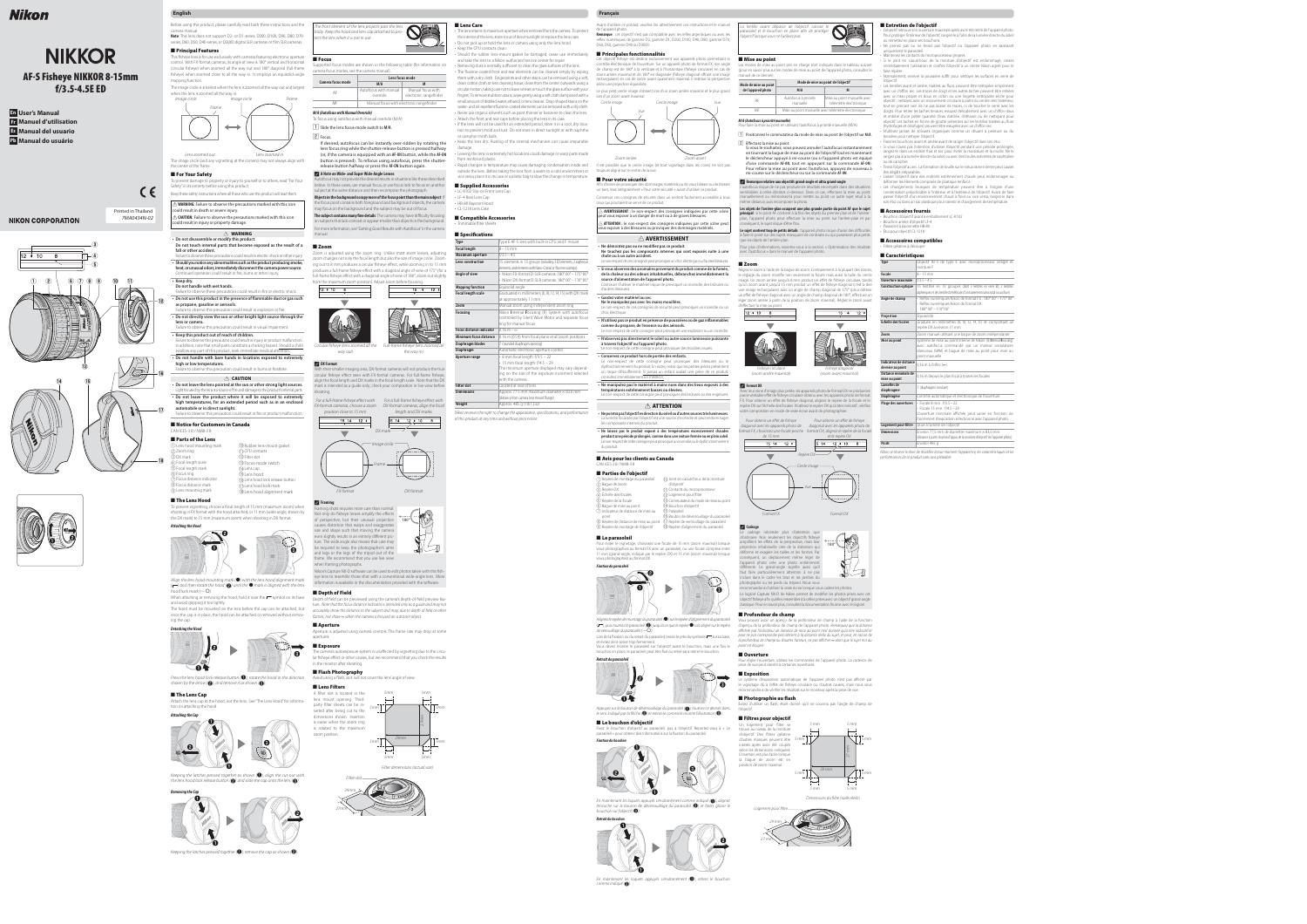## **English Français**

- **En User's Manual Fr Manuel d'utilisation Es Manual del usuario**
- 
- **Pb Manual do usuário**



# **NIKON CORPORATION**

# Nikon

# **NIKKOR AF-S Fisheye NIKKOR 8-15mm f/3.5-4.5E ED**

camera manual. **Note**: This lens does not support D2- or D1-series, D200, D100, D90, D80, D70 series, D60, D50, D40-series, or D3000 digital SLR cameras or film SLR cameras.





Before using this product, please carefully read both these instructions and the

## ■ **Principal Features**

#### the center of the frame. ■ For Your Safety

o prevent damage to property or injury to yourself or to others, read "For Your Safety" in its entirety before using this product.

This fi sheye lens is for use exclusively with cameras featuring electronic aperture ■ **Focus** control. With FX-format cameras, its angle of view is 180° vertical and horizontal (circular fisheye) when zoomed all the way out and 180° diagonal (full-frame fisheye) when zoomed close to all the way in. It employs an equisolid-angle mapping function.

The image circle is smallest when the lens is zoomed all the way out and largest when the lens is zoomed all the way in.

Keep these safety instructions where all those who use this product will read them. A **WARNING:** Failure to observe the precautions marked with this icon

could result in death or severe injury. A **CAUTION:** Failure to observe the precautions marked with this icon could result in injury or property damage.

# A **WARNING**

**• Do not disassemble or modify this product.** 

- Failure to observe these precautions could result in fire or electric shock. **• Do not use this product in the presence of flammable dust or gas such as propane, gasoline or aerosols.**
- Failure to observe this precaution could result in explosion or fire. **• Do not directly view the sun or other bright light source through the lens or camera.**
- Failure to observe this precaution could result in visual impairment. **• Keep this product out of reach of children.**
- Failure to observe this precaution could result in injury or product malfunction. In addition, note that small parts constitute a choking hazard. Should a child swallow any part of this product, seek immediate medical attentio **• Do not handle with bare hands in locations exposed to extremely high or low temperatures.**

- A **CAUTION • Do not leave the lens pointed at the sun or other strong light sources.** Light focused by the lens is a source of fire and damage to the product's internal parts. **• Do not leave the product where it will be exposed to extremely high temperatures, for an extended period such as in an enclosed**
- **automobile or in direct sunlight. in direct**  Failure to observe this precaution could result in fire or product malfunction.
- **Do not touch internal parts that become exposed as the result of a become fall or other accident.** Failure to observe these precautions could result in electric shock or other injury. **• Should you notice any abnormalities such as the product producing smoke, heat, or unusual odors, immediately disconnect the camera power source.**
- Continued operation could result in fire, burns or other injury. **• Keep dry.**
- **Do not handle with wet hands.**

 $\bf \Omega$ 

 $\bm{\mathfrak{D}}$ 

 $\circledR$ 

 $\circledR$ 

#### ■ **Notice for Customers in Canada** CAN ICES-3 B / NMB-3 B

- ■ **Parts of the Lens** q Lens hood mounting mark
- w Zoom ring e DX mark  $\widetilde{\Phi}$  Focal length scale
- $5$ ) Focal length mark ;) Focus rina 7) Focus distance indicator
	-

# ■ The Lens Hood

# 3) Focus distance mark o Lens mounting mark

n CPU contacts !2 Filter slot

shooting in FX format with the hood attached, or 11 mm (wide angle, shown by Not only do fisheye lenses amplify the effects the DX mark) to 15 mm (maximum zoom) when shooting in DX format.

once the cap is in place, the hood can be attached or removed without remov-<br>Factors, not show ∞ when the camera is focused on a distant object. ing the cap. *Detaching the Hood*



shown by the arrow  $\left(\bullet\right)$ , and remove it as shown  $\left(\bullet\right)$ .

# ■ The Lens Cap



Keeping the latches pressed together as shown  $\left(\bigodot\right)$ , align the cut-out with the lens hood lock release button  $\left( \bigodot \right)$  and slide the cap onto the lens  $\left( \bigodot \right)$ .



Keeping the latches pressed together  $\left(\bigcirc\right)$ , remove the cap as shown  $\left(\bigcirc\right)$ .

#### ■ **Mise au point** contrôle électronique de l'ouverture. Sur un appareil photo de format FX, son angle les modes de mise au point pris en charge sont indiqués dans le tableau suivant de champ est de 180° à la verticale et à l'horizontale (fisheye circulaire) en cas de wit pour en savoir plus sur les modes de mise au point de l'appareil photo, consultez le

# Failure to observe this precaution could result in burns or frostbite.

The image circle (and any vignetting at the corners) may not always align with Lens zoomed out Lens zoomed in

 $\overline{2}$  Effectuez la mise au point. Si vous le souhaitez, vous pouvez annuler l'autofocus instantanément en tournant la bague de mise au point de l'objectif tout en maintenant le déclencheur appuyé à mi-course (ou si l'appareil photo est équipé d'une commande **AF-ON**, tout en appuyant sur la commande **AF-ON**). Pour refaire la mise au point avec l'autofocus, appuyez de nouveau à mi-course sur le déclencheur ou sur la commande **AF-ON**.

pcus risque de ne pas produire les résultats escomptés dans des situations mblables à celles décrites ci-dessous. Dans ce cas, effectuez la mise au point manuellement ou mémorisez-la pour mettre au point un autre sujet situé à la me distance, puis recomposer la photo **Les objets de l'arrière-plan occupent une plus grande partie du point AF que le sujet** 

**principal** : si le point AF contient à la fois des objets du premier plan et de l'arrièreplan, l'appareil photo peut effectuer la mise au point sur l'arrière-plan et par conséquent, le sujet risque d'être flou. Le sujet contient trop de petits détails : l'appareil photo risque d'avoir des difficultés

à faire le point sur des sujets manquant de contraste ou qui paraissent plus petit que les objets de l'arrière-plan.



!3Focus-mode switch !4 Lens cap ß। ens hood !7 Lens hood lock mark



To prevent vignetting, choose a focal length of 15 mm (maximum zoom) when



 $(\sqrt{\phantom{a}})$  and then rotate the hood (2) until the  $\bullet$  mark is aligned with the lens hood lock mark  $(-O)$ .

amplifient les effets de la perspective, mais leur projection inhabituelle crée de la distorsion qui déforme et exagère les tailles et les formes. Par conséquent, un déplacement même léger de l'appareil photo crée une photo entièrement différente. Le grand-angle signifie aussi qu'il faut faire particulièrement attention à ne pas

photographe ou les pieds du trépied. Nous vous ecommandons d'utiliser la visée écran lorsque vous cadrez les photos.

and avoid gripping it too tightly. The hood must be mounted on the lens before the cap can be attached, but Le logiciel Capture NX-D de Nikon permet de modifier les photos prises avec cet objectif fisheye afin qu'elles ressemblent à celles prises avec un objectif grand-angle classique. Pour en savoir plus, consultez la documentation fournie avec le logiciel.

#### ■ Profondeur de champ

Vous pouvez avoir un aperçu de la profondeur de champ à l'aide de la fonction ( ), puis tournez le parasoleil ( ) jusqu'à ce que le repère ● soit aligné sur le repère d'aperçu de la profondeur de champ de l'appareil photo. Remarquez que la distance affichée par l'indicateur de distance de mise au point n'est donnée qu'à titre indicatif et peut ne pas correspondre précisément à la distance réelle du sujet, et peut, en raison de la profondeur de champ ou d'autres facteurs, ne pas afficher ∞ alors que le sujet mis au

Attach the lens cap to the hood, not the lens. See "The Lens Hood" for information on attaching the hood.



29 mm Logement pour filtre

Dimensions du filtre (taille réelle)





| Mode de mise au point<br>de l'appareil photo<br>M/A<br>M<br>Autofocus à priorité<br>Mise au point manuelle avec<br>AF | Mode de mise au point de l'objectif                |  |  |
|-----------------------------------------------------------------------------------------------------------------------|----------------------------------------------------|--|--|
|                                                                                                                       |                                                    |  |  |
| télémètre électronique<br>manuelle                                                                                    |                                                    |  |  |
| MF                                                                                                                    | Mise au point manuelle avec télémètre électronique |  |  |

#### *M/A (Autofocus à priorité manuelle)* Pour faire la mise au point en utilisant l'autofocus à priorité manuelle (M/A) :

1 Positionnez le commutateur du mode de mise au point de l'objectif sur M/A.

#### A **Remarque relative aux objectifs grand-angle et ultra grand-angle**

**Focal length scale Graduated in millimeters (8, 10, 12, 14, 15)** with DX mark at approximately 11 mm

Pour plus d'informations, reportez-vous à la section « Optimisation des résultats avec l'autofocus » dans le manuel de l'appareil photo.

#### ■ **Zoom**

 $2$  Focus. If desired, autofocus can be instantly over-ridden by rotating the lens focus ring while the shutter-release button is pressed halfway (or, if the camera is equipped with an **AF-ON** button, while the **AF-ON** button is pressed). To refocus using autofocus, press the shutterrelease button halfway or press the **AF-ON** button again.

> Réglez le zoom à l'aide de la bague de zoom. Contrairement à la plupart des zooms, le réglage du zoom modifie non seulement la focale mais aussi la taille du cercle image. Un zoom arrière jusqu'à 8 mm produit un effet de fisheve circulaire, tandis qu'un zoom avant jusqu'à 15 mm produit un effet de fisheye diagonal (c'est-à-dire une image rectangulaire) avec un angle de champ diagonal de 175° (pour obtenir un effet de fisheye diagonal avec un angle de champ diagonal de 180°, effectuez un léger zoom arrière à partir de la position de zoom maximal). Réglez le zoom avant





#### leur zone d'image plus petite, les appareils photo de format DX ne produiront pas le véritable effet de fisheye circulaire obtenu avec les appareils photo de format . Pour obtenir un effet de fisheye diagonal, alignez le repère de la focale et le repère DX sur l'échelle des focales. N'utilisez le repère DX qu'à titre indicatif ; vérifiez tre composition en mode de visée écran avant de photographier.

#### Pour obtenir un effet de fisheye Pour obtenir un effet de fisheye diagonal avec les appareils photo de diagonal avec les appareils photo de format FX, choisissez une focale proche format DX, alignez le repère de la focale de 15 mm et le repère DX  $15$  14 12  $\bullet$  $15 \t14 \t12 \t10 \t8$

- Fisheye circulaire (zoom arrière maximal)
- Fisheye diagonal (zoom avant maximal)

d'effectuer la mise au point.

L'objectif retrouve son ouverture maximale après avoir été retiré de l'appareil photo.

resseur intégré et

et comportant un

 $\overline{\text{indépendante}}$ 

oint pour mise au

# A **Format DX**

**A** DX Format their smaller imaging area, DX-format cameras will not produce the true circular fisheye effect seen with FX-format cameras. For full-frame fisheye, align the focal length and DX marks in the focal length scale. Note that the DX mark is intended as a guide only; check your composition in live view before shooting.

For a full-frame fisheye effect with For a full-frame fisheye effect with FX-format cameras, choose a zoom DX-format cameras, align the focal



## A **Cadrage**



The camera's autoexposure system is unaffected by vignetting due to the circular fisheye effect or other causes, but we recommend that you check the results in the monitor after shooting.



A filter slot is located in the lens mount opening. Thirdparty filter sheets can be inserted after being cut to the dimensions shown. Insertion is easier when the zoom ring is rotated to the maximum zoom position. 5mm

- Pour protéger l'intérieur de l'objectif, rangez-le à l'abri de la lumière directe du soleil ou remettez en place ses bouchons. • Ne prenez pas ou ne tenez pas l'objectif ou l'appareil photo en saisissant
- uniquement le parasoleil. • Maintenez les contacts du microprocesseur propres. • Si le joint en caoutchouc de la monture d'objectif est endommagé, cessez immédiatement l'utilisation et confiez l'objectif à un centre Nikon agréé pour le faire réparer.
- Normalement, enlever la poussière suffit pour nettoyer les surfaces en verre de l'objectif. • Les lentilles avant et arrière, traitées au fluor, peuvent être nettoyées simplement
- avec un chiffon sec. Les traces de doigt et les autres taches peuvent être retirées avec un tissu propre et doux en coton ou une lingette nettoyante sèche pour objectif ; nettoyez avec un mouvement circulaire à partir du centre vers l'extérieur tout en prenant soin de ne pas laisser de traces, ni de toucher le verre avec les doigts. Pour retirer les taches tenaces, essuyez délicatement avec un chiffon doux et imbibé d'une petite quantité d'eau distillée, d'éthanol ou de nettoyant pour objectif. Les taches en forme de goutte présentes sur les lentilles traitées au fluor
- (hydrofuges et oléofuges) peuvent être essuyées avec un chiffon sec. • N'utilisez jamais de solvants organiques comme un diluant à peinture ou du benzène pour nettoyer l'objectif. • Fixez les bouchons avant et arrière avant de ranger l'objectif dans son étui. • Si vous n'avez pas l'intention d'utiliser l'objectif pendant une période prolongée, rangez-le dans un endroit frais et sec pour éviter la moisissure et la rouille. Ne le
- rangez pas à la lumière directe du soleil ou avec des boules antimites de naphtaline ou de camphre. • Tenez l'objectif au sec. La formation de rouille sur le mécanisme interne peut causer des dégâts irréparables. Laisser l'objectif dans des endroits extrêmement chauds peut endommager ou
- déformer les éléments composés de plastique renforcé. • Les changements brusques de température peuvent être à l'origine d'une condensation préjudiciable à l'intérieur et à l'extérieur de l'objectif. Avant de faire passer l'objectif d'un environnement chaud à froid ou vice versa, rangez-le dans son étui ou dans un sac plastique pour ralentir le changement de température.
- **Accessoires fournis** • Bouchon d'objectif avant à emboîtement LC-K102
- Bouchon arrière d'objectif LF-4 Parasoleil à baïonnette HB-80

■ **Ouverture** Pour régler l'ouverture, utilisez les commandes de l'appareil photo. La cadence de

# prise de vue peut ralentir à certaines ouvertures.

■ **Exposition** Le système d'exposition automatique de l'appareil photo n'est pas affecté par le vignetage dû à l'effet de fisheve circulaire ou d'autres causes, mais nous vous

recommandons de vérifier les résultats sur le moniteur après la prise de vue. ■ Photographie au flash Évitez d'utiliser un flash, étant donné qu'il ne couvrira pas l'angle de champ de

# l'objectif.

#### ■ Accessoires compatibles • Filtres gélatine à découper

27 mm

180°

■ **Lens Care**

Keep the CPU contacts clean.

• The lens returns to maximum aperture when removed from the camera. To protect the interior of the lens, store it out of direct sunlight or replace the lens caps. • Do not pick up or hold the lens or camera using only the lens hood.

• Should the rubber lens-mount gasket be damaged, cease use immediately

Nikon se réserve le droit de modifier à tout moment l'apparence, les caractéristiques et les performances de ce produit sans avis préalable.

and take the lens to a Nikon-authorized service center for repair. • Removing dust is normally sufficient to clean the glass surfaces of the lens. • The fluorine-coated front and rear elements can be cleaned simply by wiping them with a dry cloth. Fingerprints and other stains can be removed using a soft,

zoom arrière maximal et de 180° en diagonale (fisheye diagonal offrant une image  $\quad$  manuel de ce dernier). clean cotton cloth or lens cleaning tissue; clean from the center outwards using a selon une projection équisolide. circular motion, taking care not to leave smears or touch the glass surface with your Le plus petit cercle image s'obtient lors d'un zoom arrière maximal et le plus grand Cet objectif fisheye est destiné exclusivement aux appareils photo permettant le rectangulaire) en cas de zoom avant quasiment maximal. Il restitue la perspective

> Afin d'éviter de provoquer des dommages matériels ou de vous blesser ou de blesser un tiers, lisez intégralement « Pour votre sécurité » avant d'utiliser ce produit. Conservez ces consignes de sécurité dans un endroit facilement accessible à tous

• Attach the front and rear caps before placing the lens in its case.



or camphor moth balls.

damage.

from reinforced plastic.

■ Supplied Accessories • LC-K102 Slip-on Front Lens Cap

■ **Compatible Accessories** • Trimmable filter sheets

**Focal length**  $8 - 15$  mm **Maximum aperture** f/3.5 – 4.5

**cus distance indicator** 0.16 m – ∞

**phragm blades** 7 (rounded diaphragm opening) **Diaphragm** Automatic electronic aperture control **perture range** • 8 mm focal length: f/3.5 – 22

**Filter slot** Located at rear of lens

vice versa, place it in its case or a plastic bag to slow the change in temperature.

**Lens construction** 15 elements in 13 groups (including 3 ED elements, 2 aspherical

**Angle of view** • Nikon FX-format D-SLR cameras: 180° 00' – 175° 00'

• LF-4 Rear Lens Cap • HB-80 Bayonet Hood • CL-1218 Lens Case

■ Specifications

**Mapping function** Equisolid angle

Type E AF-S lens with built-in CPU and F mount

lements, and elements with Nano-Crystal or fluorine coatings)

**Zoom** Manual zoom using independent zoom ring **Focusing** Nikon **I**nternal **F**ocusing (IF) System with autofocus controlled by Silent Wave Motor and separate focus

• Nikon DX-format D-SLR cameras: 180° 00' – 110° 00'

- Ne démontez pas ou ne modifiez pas ce produit. **Ne touchez pas les composants internes qui sont exposés suite à une chute ou à un autre accident.** Le non-respect de ces consignes peut provoquer un choc électrique ou d'autres blessure
- **Si vous observez des anomalies provenant du produit comme de la fumée, de la chaleur ou des odeurs inhabituelles, débranchez immédiatement la source d'alimentation de l'appareil photo.** Continuer d'utiliser le matériel risque de provoquer un incendie, des brûlures ou d'autres blessures.
- **Gardez votre matériel au sec. Ne le manipulez pas avec les mains mouillées.**
- Le non-respect de ces consignes de sécurité peut provoquer un incendie ou un
- choc électrique. **N'utilisez pas ce produit en présence de poussières ou de gaz inflammable**
- **comme du propane, de l'essence ou des aérosols. l'essence aérosols.** Le non-respect de cette consigne peut provoquer une explosion ou un incendie. **• N'observez pas directement le soleil ou autre source lumineuse puissante**
- **à travers l'objectif ou l'appareil photo.** Le non-respect de cette consigne peut provoquer des troubles visuels.
- **Conservez ce produit hors de portée des enfants.**
- Le non-respect de cette consigne peut provoquer des blessures ou le dysfonctionnement du produit. En outre, notez que les petites pièces présentent un risque d'étouffement. Si jamais un enfant avalait une pièce de ce produit, consultez immédiatement un médecin.
- **Ne manipulez pas le matériel à mains nues dans des lieux exposés à des températures extrêmement basses ou élevées.** Le non-respect de cette consigne peut provoquer des brûlures ou des engelures.
	- A **ATTENTION**
- **Ne pointez pas l'objectif en direction du soleil ou d'autres sources très lumineuses. sources**  La lumière focalisée par l'objectif est une source d'incendie et peut endommager
- les composants internes du produit. **• Ne laissez pas le produit exposé à des températures excessivement chaudes pendant une période prolongée, comme dans une voiture fermée ou en plein soleil. soleil.** Le non-respect de cette consigne peut provoquer un incendie ou le dysfonctionnement

ring for manual focus

- q Repère de montage du parasoleil
- 2) Bague de zoom B) Repère DX
- $\widetilde{4}$ ) Échelle des focales t Repère de la focale
- (6) Bague de mise au point !4 Bouchon d'objectif (15) Parasoleil
- u Indicateur de distance de mise au point
- i Repère de distance de mise au point !7 Repère de verrouillage du parasoleil **9** Repère de montage de l'objectif (B Repère d'alignement du parasoleil

# ■ Le parasoleil

• 15 mm focal length: f/4.5 – 29

(distance from camera lens mount flange) **Weight** Approx. 485 g (1 lb 1.2 oz) Nikon reserves the right to change the appearance, specifications, and performance

The minimum aperture displayed may vary depending on the size of the exposure increment selected

with the camera.

**Minum focus distance** 0.16 m (0.5 ft) from focal plane at all zoom positions

**Dimensions** Approx. 77.5 mm maximum diameter × 83.0 mm

Vous devez monter le parasoleil sur l'objectif avant le bouchon, mais une fois le point est éloigné. Lors de la fixation ou du retrait du parasoleil, tenez-le près du symbole  $\sqrt{\phantom{a}}$ sur sa base, et évitez de le serrer trop fermement.

of this product at any time and without prior notice.



■ **Le bouchon d'objectif** Fixez le bouchon d'objectif au parasoleil, pas à l'objectif. Reportez-vous à « Le parasoleil » pour obtenir des informations sur la fixation du parasoleil.





• Rapid changes in temperature may cause damaging condensation inside and lest possible que le cercle image (et tout vignetage dans les coins) ne soit pas outside the lens. Before taking the lens from a warm to a cold environment or toujours aligné sur le centre de la vue. Zoom arrière Zoom avant

|                   | Lens focus mode                          |                                             |
|-------------------|------------------------------------------|---------------------------------------------|
| Camera focus mode | M/A                                      | M                                           |
| AF                | Autofocus with manual<br>override        | Manual focus with<br>electronic rangefinder |
| MF                | Manual focus with electronic rangefinder |                                             |

To focus using autofocus with manual override (M/A):

# $\lfloor \frac{1}{\sqrt{2}} \rfloor$  Slide the lens focus-mode switch to M/A.

A **A Note on Wide- and Super Wide-Angle Lenses**

Autofocus may not provide the desired results in situations like those described below. In these cases, use manual focus, or use focus lock to focus on another subject at the same distance and then recompose the photograph.

**Objects in the background occupy more of the focus point than the main subject**: If the focus point contains both foreground and background objects, the camera

may focus on the background and the subject may be out of focus. The subject contains many fine details: The camera may have difficulty focusing on subjects that lack contrast or appear smaller than objects in the background. For more information, see "Getting Good Results with Autofocus" in the camera

## manual. ■ **Zoom**

Zoom is adjusted using the zoom ring. Unlike most zoom lenses, adjusting zoom changes not only the focal length but also the size of image circle. Zooming out to 8 mm produces a circular fisheye effect, while zooming in to 15 mm produces a full-frame fisheve effect with a diagonal angle of view of 175° (for a full-frame fisheye effect with a diagonal angle of view of 180°, zoom out slightly

from the maximum zoom position). Adjust zoom before focusing.





position close to 15 mm length and DX marks  $15$  14 12  $\bullet$  $15$  14 12  $\sqrt{10}$  8 DX mark Image circle Frame FX format DX format

#### A **Framing**

Framing shots requires more care than normal. of perspective, but their unusual projection 180° causes distortion that warps and exaggerates size and shape such that moving the camera even slightly results in an entirely different picture. The wide angle also means that care may be required to keep the photographer's arms and legs or the legs of the tripod out of the frame. We recommend that you use live view



when framing photographs. Nikon's Capture NX-D software can be used to edit photos taken with this fisheye lens to resemble those shot with a conventional wide-angle lens. More information is available in the documentation provided with the software.

## ■ Depth of Field

When attaching or removing the hood, hold it near the  $\sqrt{ }$  symbol on its base Depth of field can be previewed using the camera's depth-of-field preview feature. Note that the focus distance indicator is intended only as a guide and may not accurately show the distance to the subject and may, due to depth of field or other

# ■ **Aperture**

Aperture is adjusted using camera controls. The frame rate may drop at some apertures.

# ■ **Exposure**

#### ■ **Flash Photography**

Press the lens hood lock release button ( $\bigcirc$ ), rotate the hood in the direction and avoid using a flash, as it will not cover the lens' angle of view.

# ■ **Lens Filters**

5mm









## ■ **Entretien de l'objectif**

# • Étui pour objectif CL-1218

# ■ **Caractéristiques**

| <b>Type</b>                                | Objectif AF-S de type E avec microprocesseur intégré et<br>monture F                                                                                                                                |  |
|--------------------------------------------|-----------------------------------------------------------------------------------------------------------------------------------------------------------------------------------------------------|--|
| <b>Focale</b>                              | $8 - 15$ mm                                                                                                                                                                                         |  |
| <b>Ouverture maximale</b>                  | $f/3.5 - 4.5$                                                                                                                                                                                       |  |
| <b>Construction optique</b>                | 15 lentilles en 13 groupes (dont 3 lentilles en verre ED, 2 lentilles<br>asphériques et des lentilles bénéficiant d'un traitement nanocristal ou au fluor)                                          |  |
| Angle de champ                             | · Reflex numériques Nikon de format FX : 180° 00' - 175° 00'<br>· Reflex numériques Nikon de format DX :<br>$180^{\circ}$ 00' $-110^{\circ}$ 00'                                                    |  |
| <b>Projection</b>                          | Équisolide                                                                                                                                                                                          |  |
| Échelle des focales                        | Graduée en millimètres (8, 10, 12, 14, 15) et comportant un<br>repère DX à environ 11 mm                                                                                                            |  |
| Zoom                                       | Zoom manuel utilisant une baque de zoom indépendante                                                                                                                                                |  |
| Mise au point                              | Système de mise au point interne de Nikon (IF, Internal Focusing)<br>avec autofocus commandé par un moteur ondulatoire<br>silencieux (SWM) et baque de mise au point pour mise au<br>point manuelle |  |
| Indicateur de distance<br>de mise au point | $0.16$ m à l'infini ( $\infty$ )                                                                                                                                                                    |  |
| Distance minimale de<br>mise au point      | 0,16 m depuis le plan focal à toutes les focales                                                                                                                                                    |  |
| Lamelles de<br>diaphragme                  | 7 (diaphragme circulaire)                                                                                                                                                                           |  |
| <b>Diaphragme</b>                          | Contrôle automatique et électronique de l'ouverture                                                                                                                                                 |  |
| Plage des ouvertures                       | • Focale 8 mm : $f/3.5 - 22$<br>• Focale 15 mm : f/4.5 - 29<br>L'ouverture minimale affichée peut varier en fonction de<br>l'incrément d'exposition sélectionné avec l'appareil photo.              |  |
| Logement pour filtre                       | Situé à l'arrière de l'objectif                                                                                                                                                                     |  |
| <b>Dimensions</b>                          | Environ 77,5 mm de diamètre maximum × 83,0 mm<br>(distance à partir du plan d'appui de la monture d'objectif de l'appareil photo)                                                                   |  |
| <b>Poids</b>                               | Environ 485 a                                                                                                                                                                                       |  |

Avant d'utiliser ce produit, veuillez lire attentivement ces instructions et le manuel de l'appareil photo. **Remarque** : cet objectif n'est pas compatible avec les reflex argentiques ou avec les reflex numériques de gamme D2, gamme D1, D200, D100, D90, D80, gamme D70, D60, D50, gamme D40 ou D3000.

#### ■ **Principales fonctionnalités**

#### ■ **Pour votre sécurité**

- ceux qui pourraient se servir de ce produit. A **AVERTISSEMENT :** le non-respect des consignes indiquées par cette icône
- peut vous exposer à un danger de mort ou à de graves blessures. A **ATTENTION :** le non-respect des consignes indiquées par cette icône peut vous exposer à des blessures ou provoquer des dommages matériels.

#### A **AVERTISSEMENT**

du produit.

#### ■ **Avis pour les clients au Canada**

# ■ Parties de l'objecti

CAN ICES-3 B / NMB-3 B

!0 Joint en caoutchouc de la monture

d'objectif



!6 Bouton de déverrouillage du parasoleil

11 Contacts du microprocesseur ogement pour filtre.

Pour éviter le vignetage, choisissez une focale de 15 mm (zoom maximal) lorsque vous photographiez au format FX avec un parasoleil, ou une focale comprise entre 11 mm (grand-angle, indiqué par le repère DX) et 15 mm (zoom maximal) lorsque vous photographiez au format DX.



# de verrouillage du parasoleil ( $-C$



# le sens indiqué par la flèche  $\left( \textcolor{blue}{\bullet} \right)$  et retirez-le comme le montre l'illustration  $\left( \textcolor{blue}{\bullet} \right)$ .



En maintenant les loquets appuyés simultanément comme indiqué ( $\bigcirc$ ), alignez l'encoche sur le bouton de déverrouillage du parasoleil (@) et faites glisser le bouchon sur l'objectif (8).



En maintenant les loquets appuyés simultanément (.), retirez le bouchon  $comme$  indiqué  $\left( \bigodot \right)$ .